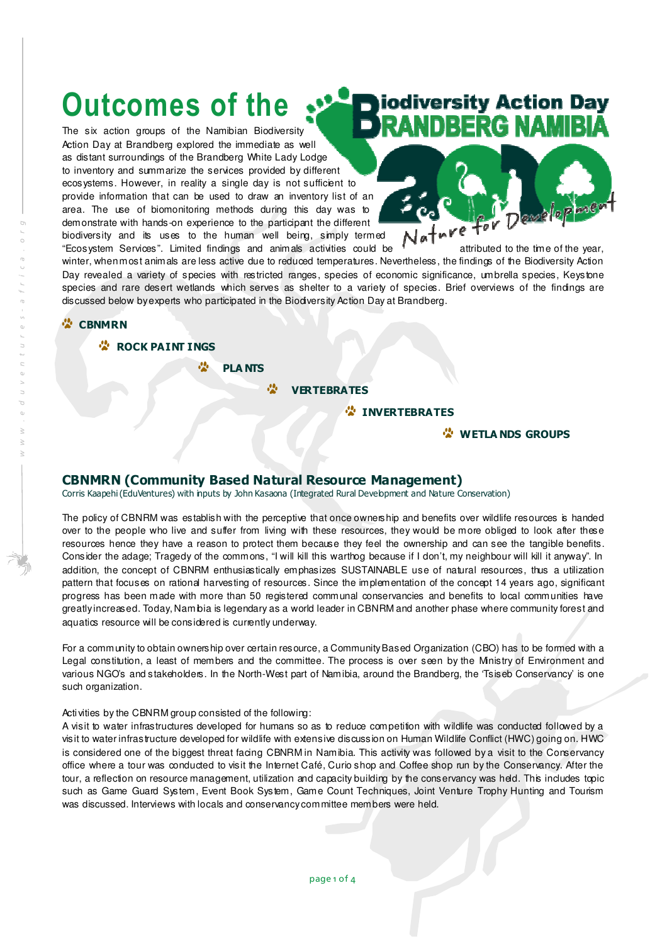# Outcomes of the

The six action groups of the Namibian Biodiversity Action Day at Brandberg explored the immediate as well as distant surroundings of the Brandberg White Lady Lodge to inventory and summarize the services provided by different ecosystems. However, in reality a single day is not sufficient to provide information that can be used to draw an inventory list of an area. The use of biomonitoring methods during this day was to demonstrate with hands-on experience to the participant the different biodiversity and its uses to the human well being, simply termed "Ecosystem Services". Limited findings and animals activities could be  $\frac{1}{2}$  attributed to the time of the year,

iodiversity Action Day NDBERG NAMIBIÁ



winter, when most animals are less active due to reduced temperatures. Nevertheless, the findings of the Biodiversity Action Day revealed a variety of species with restricted ranges, species of economic significance, umbrella species, Keystone species and rare desert wetlands which serves as shelter to a variety of species. Brief overviews of the findings are discussed below by experts who participated in the Biodiversity Action Day at Brandberg.

#### *<b>CBNMRN*

**COCK PAINT INGS** 

**C** PLANTS

**CONTREBRATES** 

**C** INVERTEBRATES

**WETLA NDS GROUPS** 

## CBNMRN (Community Based Natural Resource Management)

Corris Kaapehi (EduVentures) with inputs by John Kasaona (Integrated Rural Development and Nature Conservation)

The policy of CBNRM was establish with the perceptive that once ownership and benefits over wildlife resources is handed over to the people who live and suffer from living with these resources, they would be more obliged to look after these resources hence they have a reason to protect them because they feel the ownership and can see the tangible benefits. Consider the adage; Tragedy of the commons, "I will kill this warthog because if I don't, my neighbour will kill it anyway". In addition, the concept of CBNRM enthusiastically emphasizes SUSTAINABLE use of natural resources, thus a utilization pattern that focuses on rational harvesting of resources. Since the implementation of the concept 14 years ago, significant progress has been made with more than 50 registered communal conservancies and benefits to local communities have greatly increased. Today, Namibia is legendary as a world leader in CBNRM and another phase where community forest and aquatics resource will be considered is currently underway.

For a community to obtain ownership over certain resource, a Community Based Organization (CBO) has to be formed with a Legal constitution, a least of members and the committee. The process is over seen by the Ministry of Environment and various NGO's and stakeholders. In the North-West part of Namibia, around the Brandberg, the 'Tsiseb Conservancy' is one such organization.

#### Activities by the CBNRM group consisted of the following:

A visit to water infrastructures developed for humans so as to reduce competition with wildlife was conducted followed by a visit to water infrastructure developed for wildlife with extensive discussion on Human Wildlife Conflict (HWC) going on. HWC is considered one of the biggest threat facing CBNRM in Namibia. This activity was followed by a visit to the Conservancy office where a tour was conducted to visit the Internet Café, Curio shop and Coffee shop run by the Conservancy. After the tour, a reflection on resource management, utilization and capacity building by the conservancy was held. This includes topic such as Game Guard System, Event Book System, Game Count Techniques, Joint Venture Trophy Hunting and Tourism was discussed. Interviews with locals and conservancy committee members were held.

w w w . e d u v e n t u r e s - a f r i c a . o r g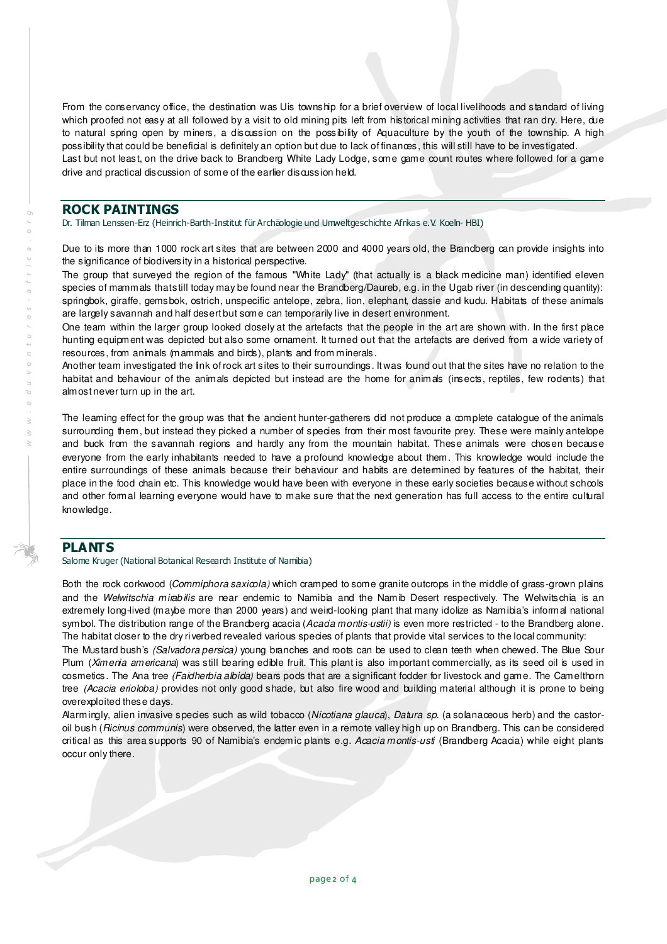From the conservancy office, the destination was Uis township for a brief overview of local livelihoods and standard of living which proofed not easy at all followed by a visit to old mining pits left from historical mining activities that ran dry. Here, due to natural spring open by miners, a discussion on the possibility of Aquaculture by the youth of the township. A high possibility that could be beneficial is definitely an option but due to lack of finances, this will still have to be investigated. Last but not least, on the drive back to Brandberg White Lady Lodge, some game count routes where followed for a game drive and practical discussion of some of the earlier discussion held.

## ROCK PAINTINGS

Dr. Tilman Lenssen-Erz (Heinrich-Barth-Institut für Archäologie und Umweltgeschichte Afrikas e.V. Koeln- HBI)

Due to its more than 1000 rock art sites that are between 2000 and 4000 years old, the Brandberg can provide insights into the significance of biodiversity in a historical perspective.

The group that surveyed the region of the famous "White Lady" (that actually is a black medicine man) identified eleven species of mammals that still today may be found near the Brandberg/Daureb, e.g. in the Ugab river (in descending quantity): springbok, giraffe, gemsbok, ostrich, unspecific antelope, zebra, lion, elephant, dassie and kudu. Habitats of these animals are largely savannah and half desert but some can temporarily live in desert environment.

One team within the larger group looked closely at the artefacts that the people in the art are shown with. In the first place hunting equipment was depicted but also some ornament. It turned out that the artefacts are derived from a wide variety of resources, from animals (mammals and birds), plants and from minerals.

Another team investigated the link of rock art sites to their surroundings. It was found out that the sites have no relation to the habitat and behaviour of the animals depicted but instead are the home for animals (insects, reptiles, few rodents) that almost never turn up in the art.

The learning effect for the group was that the ancient hunter-gatherers did not produce a complete catalogue of the animals surrounding them, but instead they picked a number of species from their most favourite prey. These were mainly antelope and buck from the savannah regions and hardly any from the mountain habitat. These animals were chosen because everyone from the early inhabitants needed to have a profound knowledge about them. This knowledge would include the entire surroundings of these animals because their behaviour and habits are determined by features of the habitat, their place in the food chain etc. This knowledge would have been with everyone in these early societies because without schools and other formal learning everyone would have to make sure that the next generation has full access to the entire cultural knowledge.

## PLANTS

Salome Kruger (National Botanical Research Institute of Namibia)

Both the rock corkwood (Commiphora saxicola) which cramped to some granite outcrops in the middle of grass-grown plains and the Welwitschia mirabilis are near endemic to Namibia and the Namib Desert respectively. The Welwitschia is an extremely long-lived (maybe more than 2000 years) and weird-looking plant that many idolize as Namibia's informal national symbol. The distribution range of the Brandberg acacia (Acada montis-ustii) is even more restricted - to the Brandberg alone. The habitat closer to the dry riverbed revealed various species of plants that provide vital services to the local community:

The Mustard bush's (Salvadora persica) young branches and roots can be used to clean teeth when chewed. The Blue Sour Plum (Ximenia americana) was still bearing edible fruit. This plant is also important commercially, as its seed oil is used in cosmetics. The Ana tree (Faidherbia albida) bears pods that are a significant fodder for livestock and game. The Camelthorn tree (Acacia erioloba) provides not only good shade, but also fire wood and building material although it is prone to being overexploited these days.

Alarmingly, alien invasive species such as wild tobacco (Nicotiana glauca), Datura sp. (a solanaceous herb) and the castoroil bush (Ricinus communis) were observed, the latter even in a remote valley high up on Brandberg. This can be considered critical as this area supports 90 of Namibia's endemic plants e.g. Acacia montis-usti (Brandberg Acacia) while eight plants occur only there.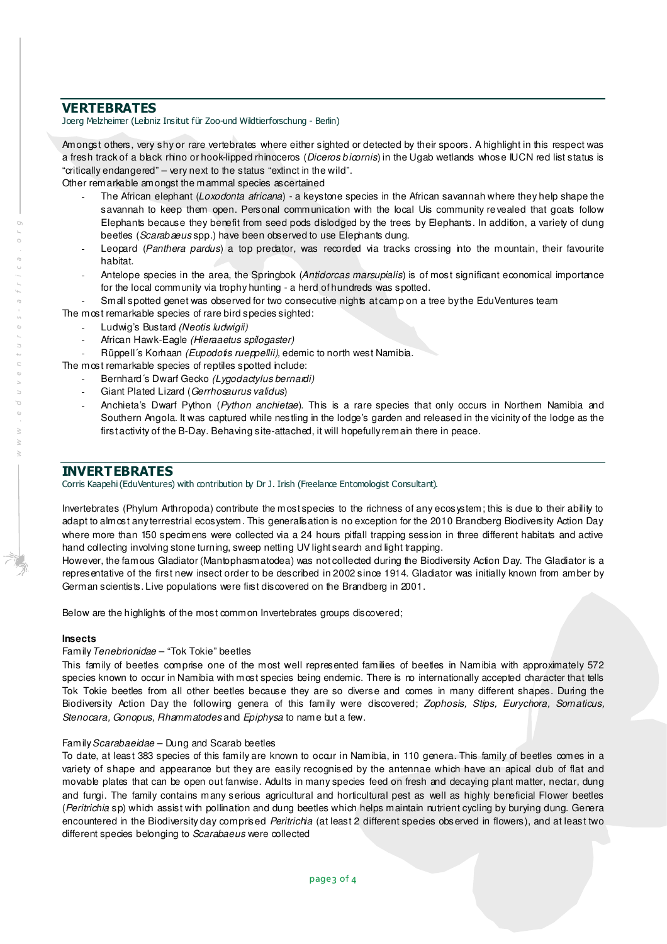## VERTEBRATES

Joerg Melzheimer (Leibniz Insitut für Zoo-und Wildtierforschung - Berlin)

Amongst others, very shy or rare vertebrates where either sighted or detected by their spoors. A highlight in this respect was a fresh track of a black rhino or hook-lipped rhinoceros (Diceros bicornis) in the Ugab wetlands whose IUCN red list status is "critically endangered" – very next to the status "extinct in the wild".

Other remarkable amongst the mammal species ascertained

- The African elephant (Loxodonta africana) a keystone species in the African savannah where they help shape the savannah to keep them open. Personal communication with the local Uis community revealed that goats follow Elephants because they benefit from seed pods dislodged by the trees by Elephants. In addition, a variety of dung beetles (Scarabaeus spp.) have been observed to use Elephants dung.
- Leopard (Panthera pardus) a top predator, was recorded via tracks crossing into the mountain, their favourite habitat.
- Antelope species in the area, the Springbok (Antidorcas marsupialis) is of most significant economical importance for the local community via trophy hunting - a herd of hundreds was spotted.
- Small spotted genet was observed for two consecutive nights at camp on a tree by the Edu Ventures team
- The most remarkable species of rare bird species sighted:
	- Ludwig's Bustard (Neotis ludwigii)
	- African Hawk-Eagle (Hieraaetus spilogaster)

Rüppell's Korhaan (Eupodotis rueppellii), edemic to north west Namibia.

The most remarkable species of reptiles spotted include:

- Bernhard's Dwarf Gecko (Lygodactylus bernardi)
- Giant Plated Lizard (Gerrhosaurus validus)
- Anchieta's Dwarf Python (Python anchietae). This is a rare species that only occurs in Northern Namibia and Southern Angola. It was captured while nestling in the lodge's garden and released in the vicinity of the lodge as the first activity of the B-Day. Behaving site-attached, it will hopefully remain there in peace.

## INVERTEBRATES

Corris Kaapehi (EduVentures) with contribution by Dr J. Irish (Freelance Entomologist Consultant).

Invertebrates (Phylum Arthropoda) contribute the most species to the richness of any ecosystem; this is due to their ability to adapt to almost any terrestrial ecosystem. This generalisation is no exception for the 2010 Brandberg Biodiversity Action Day where more than 150 specimens were collected via a 24 hours pitfall trapping session in three different habitats and active hand collecting involving stone turning, sweep netting UV light search and light trapping.

However, the famous Gladiator (Mantophasmatodea) was not collected during the Biodiversity Action Day. The Gladiator is a representative of the first new insect order to be described in 2002 since 1914. Gladiator was initially known from amber by German scientists. Live populations were first discovered on the Brandberg in 2001.

Below are the highlights of the most common Invertebrates groups discovered;

## **Insects**

## Family Tenebrionidae – "Tok Tokie" beetles

This family of beetles comprise one of the most well represented families of beetles in Namibia with approximately 572 species known to occur in Namibia with most species being endemic. There is no internationally accepted character that tells Tok Tokie beetles from all other beetles because they are so diverse and comes in many different shapes. During the Biodiversity Action Day the following genera of this family were discovered; Zophosis, Stips, Eurychora, Somaticus, Stenocara, Gonopus, Rhammatodes and Epiphysa to name but a few.

#### Family Scarabaeidae – Dung and Scarab beetles

To date, at least 383 species of this family are known to occur in Namibia, in 110 genera. This family of beetles comes in a variety of shape and appearance but they are easily recognised by the antennae which have an apical club of flat and movable plates that can be open out fanwise. Adults in many species feed on fresh and decaying plant matter, nectar, dung and fungi. The family contains many serious agricultural and horticultural pest as well as highly beneficial Flower beetles (Peritrichia sp) which assist with pollination and dung beetles which helps maintain nutrient cycling by burying dung. Genera encountered in the Biodiversity day comprised *Peritrichia* (at least 2 different species observed in flowers), and at least two different species belonging to Scarabaeus were collected